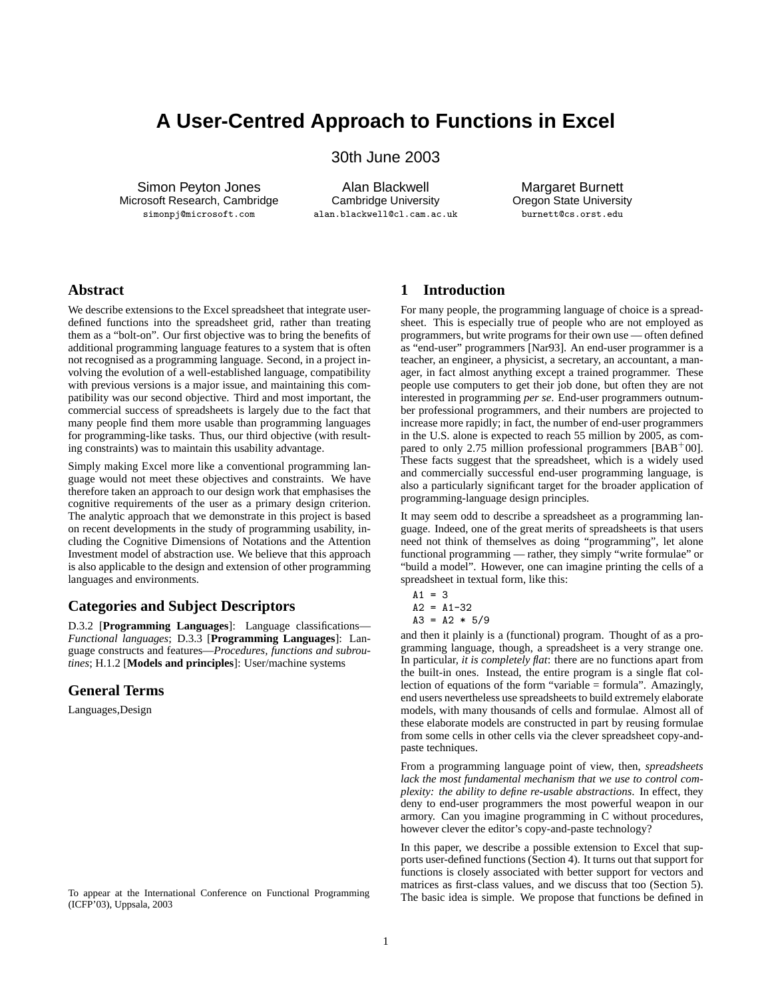# **A User-Centred Approach to Functions in Excel**

30th June 2003

Simon Peyton Jones Microsoft Research, Cambridge simonpj@microsoft.com

Alan Blackwell Cambridge University alan.blackwell@cl.cam.ac.uk

Margaret Burnett Oregon State University burnett@cs.orst.edu

# **Abstract**

We describe extensions to the Excel spreadsheet that integrate userdefined functions into the spreadsheet grid, rather than treating them as a "bolt-on". Our first objective was to bring the benefits of additional programming language features to a system that is often not recognised as a programming language. Second, in a project involving the evolution of a well-established language, compatibility with previous versions is a major issue, and maintaining this compatibility was our second objective. Third and most important, the commercial success of spreadsheets is largely due to the fact that many people find them more usable than programming languages for programming-like tasks. Thus, our third objective (with resulting constraints) was to maintain this usability advantage.

Simply making Excel more like a conventional programming language would not meet these objectives and constraints. We have therefore taken an approach to our design work that emphasises the cognitive requirements of the user as a primary design criterion. The analytic approach that we demonstrate in this project is based on recent developments in the study of programming usability, including the Cognitive Dimensions of Notations and the Attention Investment model of abstraction use. We believe that this approach is also applicable to the design and extension of other programming languages and environments.

## **Categories and Subject Descriptors**

D.3.2 [**Programming Languages**]: Language classifications— *Functional languages*; D.3.3 [**Programming Languages**]: Language constructs and features—*Procedures, functions and subroutines*; H.1.2 [**Models and principles**]: User/machine systems

## **General Terms**

Languages,Design

## **1 Introduction**

For many people, the programming language of choice is a spreadsheet. This is especially true of people who are not employed as programmers, but write programs for their own use — often defined as "end-user" programmers [Nar93]. An end-user programmer is a teacher, an engineer, a physicist, a secretary, an accountant, a manager, in fact almost anything except a trained programmer. These people use computers to get their job done, but often they are not interested in programming *per se*. End-user programmers outnumber professional programmers, and their numbers are projected to increase more rapidly; in fact, the number of end-user programmers in the U.S. alone is expected to reach 55 million by 2005, as compared to only 2.75 million professional programmers  $[BAB<sup>+</sup>00]$ . These facts suggest that the spreadsheet, which is a widely used and commercially successful end-user programming language, is also a particularly significant target for the broader application of programming-language design principles.

It may seem odd to describe a spreadsheet as a programming language. Indeed, one of the great merits of spreadsheets is that users need not think of themselves as doing "programming", let alone functional programming — rather, they simply "write formulae" or "build a model". However, one can imagine printing the cells of a spreadsheet in textual form, like this:

$$
A1 = 3
$$
  

$$
A2 = A1-32
$$

 $A3 = A2 * 5/9$ 

and then it plainly is a (functional) program. Thought of as a programming language, though, a spreadsheet is a very strange one. In particular, *it is completely flat*: there are no functions apart from the built-in ones. Instead, the entire program is a single flat collection of equations of the form "variable  $=$  formula". Amazingly, end users nevertheless use spreadsheets to build extremely elaborate models, with many thousands of cells and formulae. Almost all of these elaborate models are constructed in part by reusing formulae from some cells in other cells via the clever spreadsheet copy-andpaste techniques.

From a programming language point of view, then, *spreadsheets lack the most fundamental mechanism that we use to control complexity: the ability to define re-usable abstractions*. In effect, they deny to end-user programmers the most powerful weapon in our armory. Can you imagine programming in C without procedures, however clever the editor's copy-and-paste technology?

In this paper, we describe a possible extension to Excel that supports user-defined functions (Section 4). It turns out that support for functions is closely associated with better support for vectors and matrices as first-class values, and we discuss that too (Section 5). The basic idea is simple. We propose that functions be defined in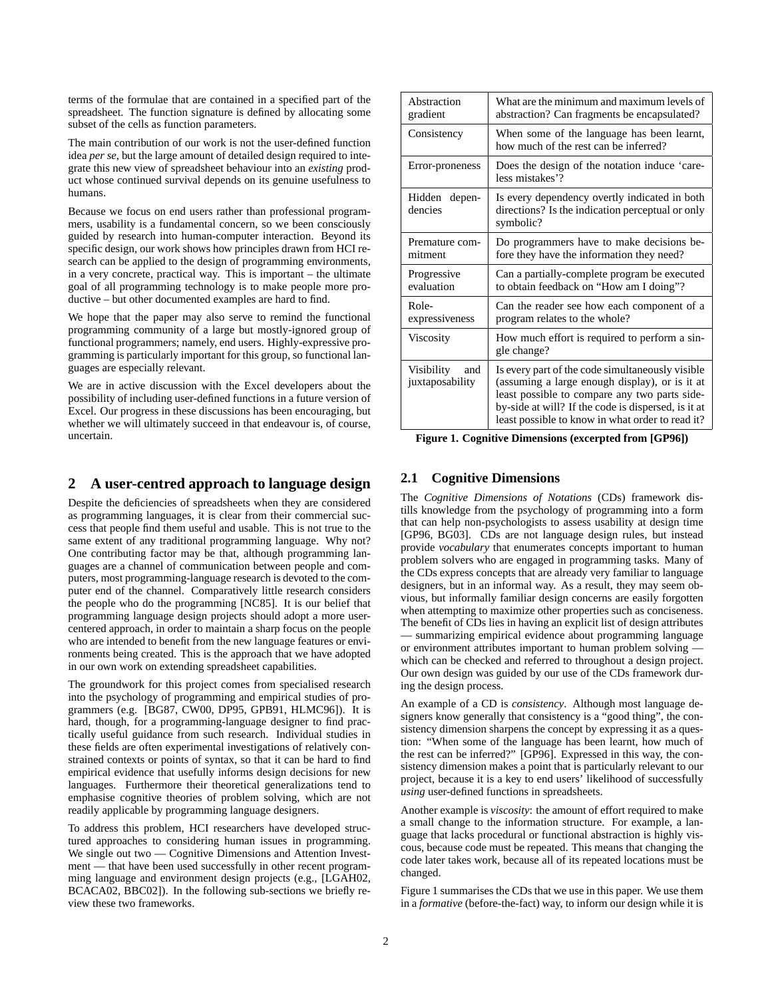terms of the formulae that are contained in a specified part of the spreadsheet. The function signature is defined by allocating some subset of the cells as function parameters.

The main contribution of our work is not the user-defined function idea *per se*, but the large amount of detailed design required to integrate this new view of spreadsheet behaviour into an *existing* product whose continued survival depends on its genuine usefulness to humans.

Because we focus on end users rather than professional programmers, usability is a fundamental concern, so we been consciously guided by research into human-computer interaction. Beyond its specific design, our work shows how principles drawn from HCI research can be applied to the design of programming environments, in a very concrete, practical way. This is important – the ultimate goal of all programming technology is to make people more productive – but other documented examples are hard to find.

We hope that the paper may also serve to remind the functional programming community of a large but mostly-ignored group of functional programmers; namely, end users. Highly-expressive programming is particularly important for this group, so functional languages are especially relevant.

We are in active discussion with the Excel developers about the possibility of including user-defined functions in a future version of Excel. Our progress in these discussions has been encouraging, but whether we will ultimately succeed in that endeavour is, of course, uncertain.

## **2 A user-centred approach to language design**

Despite the deficiencies of spreadsheets when they are considered as programming languages, it is clear from their commercial success that people find them useful and usable. This is not true to the same extent of any traditional programming language. Why not? One contributing factor may be that, although programming languages are a channel of communication between people and computers, most programming-language research is devoted to the computer end of the channel. Comparatively little research considers the people who do the programming [NC85]. It is our belief that programming language design projects should adopt a more usercentered approach, in order to maintain a sharp focus on the people who are intended to benefit from the new language features or environments being created. This is the approach that we have adopted in our own work on extending spreadsheet capabilities.

The groundwork for this project comes from specialised research into the psychology of programming and empirical studies of programmers (e.g. [BG87, CW00, DP95, GPB91, HLMC96]). It is hard, though, for a programming-language designer to find practically useful guidance from such research. Individual studies in these fields are often experimental investigations of relatively constrained contexts or points of syntax, so that it can be hard to find empirical evidence that usefully informs design decisions for new languages. Furthermore their theoretical generalizations tend to emphasise cognitive theories of problem solving, which are not readily applicable by programming language designers.

To address this problem, HCI researchers have developed structured approaches to considering human issues in programming. We single out two — Cognitive Dimensions and Attention Investment — that have been used successfully in other recent programming language and environment design projects (e.g., [LGAH02, BCACA02, BBC02]). In the following sub-sections we briefly review these two frameworks.

| Abstraction                          | What are the minimum and maximum levels of                                                                                                                                                                                                                      |  |  |
|--------------------------------------|-----------------------------------------------------------------------------------------------------------------------------------------------------------------------------------------------------------------------------------------------------------------|--|--|
| gradient                             | abstraction? Can fragments be encapsulated?                                                                                                                                                                                                                     |  |  |
| Consistency                          | When some of the language has been learnt,<br>how much of the rest can be inferred?                                                                                                                                                                             |  |  |
| Error-proneness                      | Does the design of the notation induce 'care-<br>less mistakes'?                                                                                                                                                                                                |  |  |
| Hidden                               | Is every dependency overtly indicated in both                                                                                                                                                                                                                   |  |  |
| depen-                               | directions? Is the indication perceptual or only                                                                                                                                                                                                                |  |  |
| dencies                              | symbolic?                                                                                                                                                                                                                                                       |  |  |
| Premature com-                       | Do programmers have to make decisions be-                                                                                                                                                                                                                       |  |  |
| mitment                              | fore they have the information they need?                                                                                                                                                                                                                       |  |  |
| Progressive                          | Can a partially-complete program be executed                                                                                                                                                                                                                    |  |  |
| evaluation                           | to obtain feedback on "How am I doing"?                                                                                                                                                                                                                         |  |  |
| Role-                                | Can the reader see how each component of a                                                                                                                                                                                                                      |  |  |
| expressiveness                       | program relates to the whole?                                                                                                                                                                                                                                   |  |  |
| Viscosity                            | How much effort is required to perform a sin-<br>gle change?                                                                                                                                                                                                    |  |  |
| Visibility<br>and<br>juxtaposability | Is every part of the code simultaneously visible.<br>(assuming a large enough display), or is it at<br>least possible to compare any two parts side-<br>by-side at will? If the code is dispersed, is it at<br>least possible to know in what order to read it? |  |  |

**Figure 1. Cognitive Dimensions (excerpted from [GP96])**

## **2.1 Cognitive Dimensions**

The *Cognitive Dimensions of Notations* (CDs) framework distills knowledge from the psychology of programming into a form that can help non-psychologists to assess usability at design time [GP96, BG03]. CDs are not language design rules, but instead provide *vocabulary* that enumerates concepts important to human problem solvers who are engaged in programming tasks. Many of the CDs express concepts that are already very familiar to language designers, but in an informal way. As a result, they may seem obvious, but informally familiar design concerns are easily forgotten when attempting to maximize other properties such as conciseness. The benefit of CDs lies in having an explicit list of design attributes — summarizing empirical evidence about programming language or environment attributes important to human problem solving which can be checked and referred to throughout a design project. Our own design was guided by our use of the CDs framework during the design process.

An example of a CD is *consistency*. Although most language designers know generally that consistency is a "good thing", the consistency dimension sharpens the concept by expressing it as a question: "When some of the language has been learnt, how much of the rest can be inferred?" [GP96]. Expressed in this way, the consistency dimension makes a point that is particularly relevant to our project, because it is a key to end users' likelihood of successfully *using* user-defined functions in spreadsheets.

Another example is *viscosity*: the amount of effort required to make a small change to the information structure. For example, a language that lacks procedural or functional abstraction is highly viscous, because code must be repeated. This means that changing the code later takes work, because all of its repeated locations must be changed.

Figure 1 summarises the CDs that we use in this paper. We use them in a *formative* (before-the-fact) way, to inform our design while it is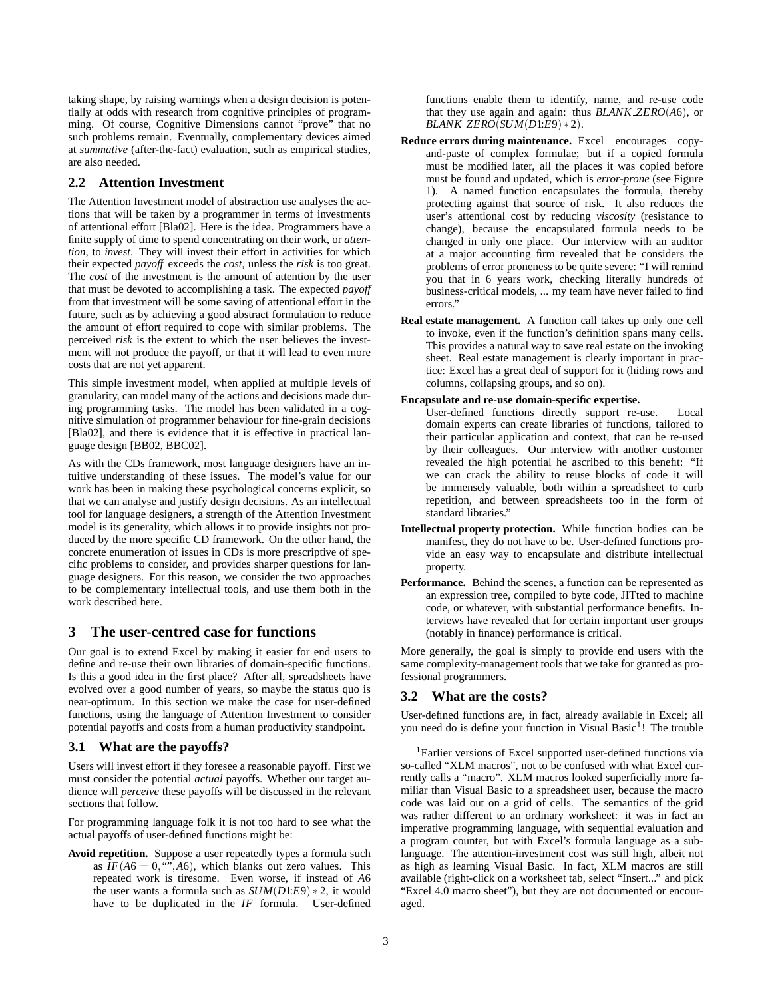taking shape, by raising warnings when a design decision is potentially at odds with research from cognitive principles of programming. Of course, Cognitive Dimensions cannot "prove" that no such problems remain. Eventually, complementary devices aimed at *summative* (after-the-fact) evaluation, such as empirical studies, are also needed.

#### **2.2 Attention Investment**

The Attention Investment model of abstraction use analyses the actions that will be taken by a programmer in terms of investments of attentional effort [Bla02]. Here is the idea. Programmers have a finite supply of time to spend concentrating on their work, or *attention*, to *invest*. They will invest their effort in activities for which their expected *payoff* exceeds the *cost*, unless the *risk* is too great. The *cost* of the investment is the amount of attention by the user that must be devoted to accomplishing a task. The expected *payoff* from that investment will be some saving of attentional effort in the future, such as by achieving a good abstract formulation to reduce the amount of effort required to cope with similar problems. The perceived *risk* is the extent to which the user believes the investment will not produce the payoff, or that it will lead to even more costs that are not yet apparent.

This simple investment model, when applied at multiple levels of granularity, can model many of the actions and decisions made during programming tasks. The model has been validated in a cognitive simulation of programmer behaviour for fine-grain decisions [Bla02], and there is evidence that it is effective in practical language design [BB02, BBC02].

As with the CDs framework, most language designers have an intuitive understanding of these issues. The model's value for our work has been in making these psychological concerns explicit, so that we can analyse and justify design decisions. As an intellectual tool for language designers, a strength of the Attention Investment model is its generality, which allows it to provide insights not produced by the more specific CD framework. On the other hand, the concrete enumeration of issues in CDs is more prescriptive of specific problems to consider, and provides sharper questions for language designers. For this reason, we consider the two approaches to be complementary intellectual tools, and use them both in the work described here.

## **3 The user-centred case for functions**

Our goal is to extend Excel by making it easier for end users to define and re-use their own libraries of domain-specific functions. Is this a good idea in the first place? After all, spreadsheets have evolved over a good number of years, so maybe the status quo is near-optimum. In this section we make the case for user-defined functions, using the language of Attention Investment to consider potential payoffs and costs from a human productivity standpoint.

#### **3.1 What are the payoffs?**

Users will invest effort if they foresee a reasonable payoff. First we must consider the potential *actual* payoffs. Whether our target audience will *perceive* these payoffs will be discussed in the relevant sections that follow.

For programming language folk it is not too hard to see what the actual payoffs of user-defined functions might be:

**Avoid repetition.** Suppose a user repeatedly types a formula such as  $IF(A6 = 0, \ldots, A6)$ , which blanks out zero values. This repeated work is tiresome. Even worse, if instead of *A*6 the user wants a formula such as  $SUM(D1:E9) * 2$ , it would have to be duplicated in the *IF* formula. User-defined

functions enable them to identify, name, and re-use code that they use again and again: thus *BLANK ZERO*(*A*6), or *BLANK ZERO*(*SUM*(*D*1:*E*9) ∗ 2).

- **Reduce errors during maintenance.** Excel encourages copyand-paste of complex formulae; but if a copied formula must be modified later, all the places it was copied before must be found and updated, which is *error-prone* (see Figure 1). A named function encapsulates the formula, thereby protecting against that source of risk. It also reduces the user's attentional cost by reducing *viscosity* (resistance to change), because the encapsulated formula needs to be changed in only one place. Our interview with an auditor at a major accounting firm revealed that he considers the problems of error proneness to be quite severe: "I will remind you that in 6 years work, checking literally hundreds of business-critical models, ... my team have never failed to find errors."
- **Real estate management.** A function call takes up only one cell to invoke, even if the function's definition spans many cells. This provides a natural way to save real estate on the invoking sheet. Real estate management is clearly important in practice: Excel has a great deal of support for it (hiding rows and columns, collapsing groups, and so on).

#### **Encapsulate and re-use domain-specific expertise.**

User-defined functions directly support re-use. Local domain experts can create libraries of functions, tailored to their particular application and context, that can be re-used by their colleagues. Our interview with another customer revealed the high potential he ascribed to this benefit: "If we can crack the ability to reuse blocks of code it will be immensely valuable, both within a spreadsheet to curb repetition, and between spreadsheets too in the form of standard libraries."

- **Intellectual property protection.** While function bodies can be manifest, they do not have to be. User-defined functions provide an easy way to encapsulate and distribute intellectual property.
- **Performance.** Behind the scenes, a function can be represented as an expression tree, compiled to byte code, JITted to machine code, or whatever, with substantial performance benefits. Interviews have revealed that for certain important user groups (notably in finance) performance is critical.

More generally, the goal is simply to provide end users with the same complexity-management tools that we take for granted as professional programmers.

## **3.2 What are the costs?**

User-defined functions are, in fact, already available in Excel; all you need do is define your function in Visual Basic<sup>1</sup>! The trouble

<sup>1</sup>Earlier versions of Excel supported user-defined functions via so-called "XLM macros", not to be confused with what Excel currently calls a "macro". XLM macros looked superficially more familiar than Visual Basic to a spreadsheet user, because the macro code was laid out on a grid of cells. The semantics of the grid was rather different to an ordinary worksheet: it was in fact an imperative programming language, with sequential evaluation and a program counter, but with Excel's formula language as a sublanguage. The attention-investment cost was still high, albeit not as high as learning Visual Basic. In fact, XLM macros are still available (right-click on a worksheet tab, select "Insert..." and pick "Excel 4.0 macro sheet"), but they are not documented or encouraged.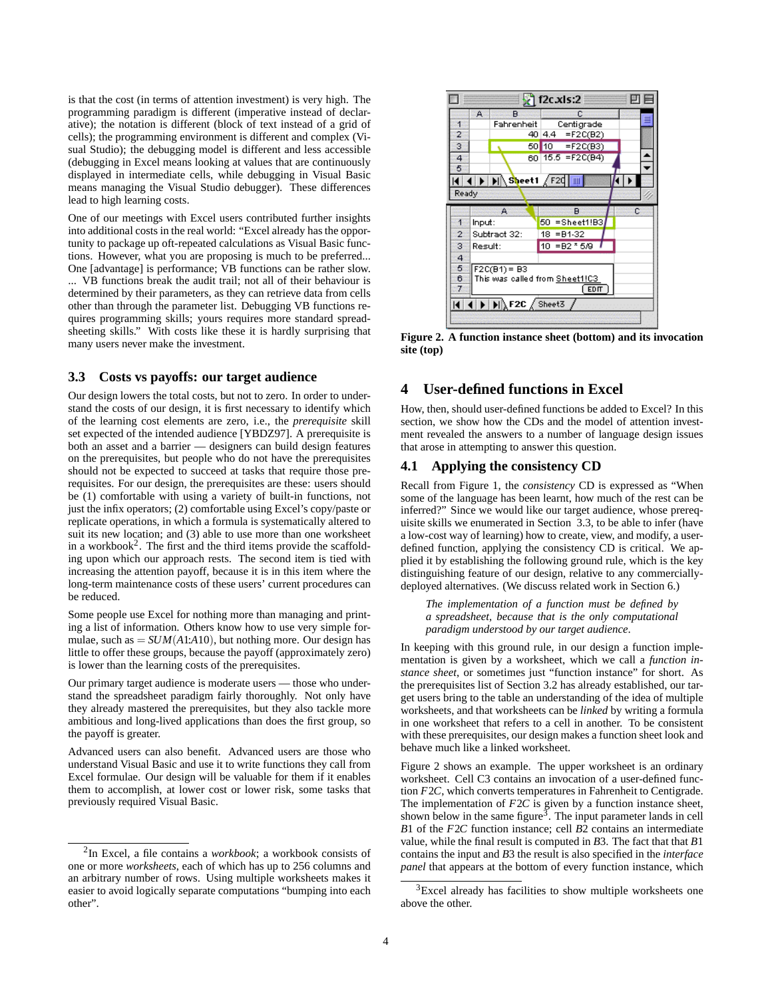is that the cost (in terms of attention investment) is very high. The programming paradigm is different (imperative instead of declarative); the notation is different (block of text instead of a grid of cells); the programming environment is different and complex (Visual Studio); the debugging model is different and less accessible (debugging in Excel means looking at values that are continuously displayed in intermediate cells, while debugging in Visual Basic means managing the Visual Studio debugger). These differences lead to high learning costs.

One of our meetings with Excel users contributed further insights into additional costs in the real world: "Excel already has the opportunity to package up oft-repeated calculations as Visual Basic functions. However, what you are proposing is much to be preferred... One [advantage] is performance; VB functions can be rather slow. ... VB functions break the audit trail; not all of their behaviour is determined by their parameters, as they can retrieve data from cells other than through the parameter list. Debugging VB functions requires programming skills; yours requires more standard spreadsheeting skills." With costs like these it is hardly surprising that many users never make the investment.

### **3.3 Costs vs payoffs: our target audience**

Our design lowers the total costs, but not to zero. In order to understand the costs of our design, it is first necessary to identify which of the learning cost elements are zero, i.e., the *prerequisite* skill set expected of the intended audience [YBDZ97]. A prerequisite is both an asset and a barrier — designers can build design features on the prerequisites, but people who do not have the prerequisites should not be expected to succeed at tasks that require those prerequisites. For our design, the prerequisites are these: users should be (1) comfortable with using a variety of built-in functions, not just the infix operators; (2) comfortable using Excel's copy/paste or replicate operations, in which a formula is systematically altered to suit its new location; and (3) able to use more than one worksheet in a workbook<sup>2</sup>. The first and the third items provide the scaffolding upon which our approach rests. The second item is tied with increasing the attention payoff, because it is in this item where the long-term maintenance costs of these users' current procedures can be reduced.

Some people use Excel for nothing more than managing and printing a list of information. Others know how to use very simple formulae, such as  $= SUM(A1: A10)$ , but nothing more. Our design has little to offer these groups, because the payoff (approximately zero) is lower than the learning costs of the prerequisites.

Our primary target audience is moderate users — those who understand the spreadsheet paradigm fairly thoroughly. Not only have they already mastered the prerequisites, but they also tackle more ambitious and long-lived applications than does the first group, so the payoff is greater.

Advanced users can also benefit. Advanced users are those who understand Visual Basic and use it to write functions they call from Excel formulae. Our design will be valuable for them if it enables them to accomplish, at lower cost or lower risk, some tasks that previously required Visual Basic.



**Figure 2. A function instance sheet (bottom) and its invocation site (top)**

# **4 User-defined functions in Excel**

How, then, should user-defined functions be added to Excel? In this section, we show how the CDs and the model of attention investment revealed the answers to a number of language design issues that arose in attempting to answer this question.

#### **4.1 Applying the consistency CD**

Recall from Figure 1, the *consistency* CD is expressed as "When some of the language has been learnt, how much of the rest can be inferred?" Since we would like our target audience, whose prerequisite skills we enumerated in Section 3.3, to be able to infer (have a low-cost way of learning) how to create, view, and modify, a userdefined function, applying the consistency CD is critical. We applied it by establishing the following ground rule, which is the key distinguishing feature of our design, relative to any commerciallydeployed alternatives. (We discuss related work in Section 6.)

*The implementation of a function must be defined by a spreadsheet, because that is the only computational paradigm understood by our target audience*.

In keeping with this ground rule, in our design a function implementation is given by a worksheet, which we call a *function instance sheet*, or sometimes just "function instance" for short. As the prerequisites list of Section 3.2 has already established, our target users bring to the table an understanding of the idea of multiple worksheets, and that worksheets can be *linked* by writing a formula in one worksheet that refers to a cell in another. To be consistent with these prerequisites, our design makes a function sheet look and behave much like a linked worksheet.

Figure 2 shows an example. The upper worksheet is an ordinary worksheet. Cell C3 contains an invocation of a user-defined function *F*2*C*, which converts temperatures in Fahrenheit to Centigrade. The implementation of *F*2*C* is given by a function instance sheet, shown below in the same figure<sup>3</sup>. The input parameter lands in cell *B*1 of the *F*2*C* function instance; cell *B*2 contains an intermediate value, while the final result is computed in *B*3. The fact that that *B*1 contains the input and *B*3 the result is also specified in the *interface panel* that appears at the bottom of every function instance, which

<sup>2</sup> In Excel, a file contains a *workbook*; a workbook consists of one or more *worksheets*, each of which has up to 256 columns and an arbitrary number of rows. Using multiple worksheets makes it easier to avoid logically separate computations "bumping into each other".

 $3E$ xcel already has facilities to show multiple worksheets one above the other.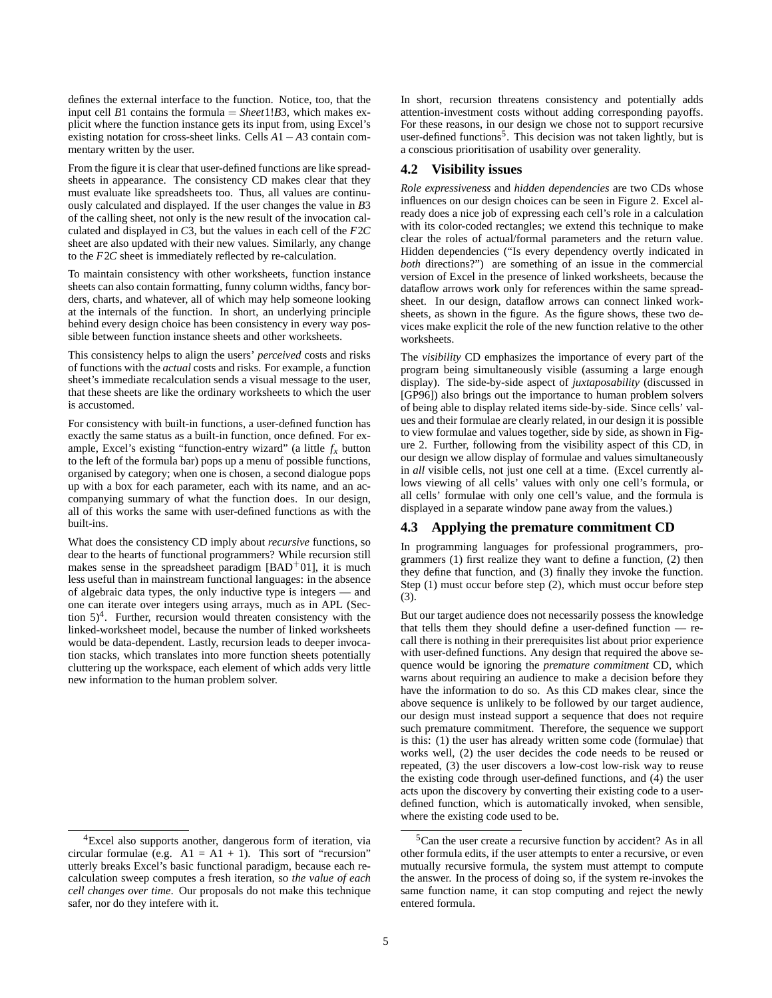defines the external interface to the function. Notice, too, that the input cell *B*1 contains the formula  $=$  *Sheet* 1!*B*3, which makes explicit where the function instance gets its input from, using Excel's existing notation for cross-sheet links. Cells *A*1−*A*3 contain commentary written by the user.

From the figure it is clear that user-defined functions are like spreadsheets in appearance. The consistency CD makes clear that they must evaluate like spreadsheets too. Thus, all values are continuously calculated and displayed. If the user changes the value in *B*3 of the calling sheet, not only is the new result of the invocation calculated and displayed in *C*3, but the values in each cell of the *F*2*C* sheet are also updated with their new values. Similarly, any change to the *F*2*C* sheet is immediately reflected by re-calculation.

To maintain consistency with other worksheets, function instance sheets can also contain formatting, funny column widths, fancy borders, charts, and whatever, all of which may help someone looking at the internals of the function. In short, an underlying principle behind every design choice has been consistency in every way possible between function instance sheets and other worksheets.

This consistency helps to align the users' *perceived* costs and risks of functions with the *actual* costs and risks. For example, a function sheet's immediate recalculation sends a visual message to the user, that these sheets are like the ordinary worksheets to which the user is accustomed.

For consistency with built-in functions, a user-defined function has exactly the same status as a built-in function, once defined. For example, Excel's existing "function-entry wizard" (a little  $f<sub>x</sub>$  button to the left of the formula bar) pops up a menu of possible functions, organised by category; when one is chosen, a second dialogue pops up with a box for each parameter, each with its name, and an accompanying summary of what the function does. In our design, all of this works the same with user-defined functions as with the built-ins.

What does the consistency CD imply about *recursive* functions, so dear to the hearts of functional programmers? While recursion still makes sense in the spreadsheet paradigm  $[BAD^+01]$ , it is much less useful than in mainstream functional languages: in the absence of algebraic data types, the only inductive type is integers — and one can iterate over integers using arrays, much as in APL (Section 5)<sup>4</sup>. Further, recursion would threaten consistency with the linked-worksheet model, because the number of linked worksheets would be data-dependent. Lastly, recursion leads to deeper invocation stacks, which translates into more function sheets potentially cluttering up the workspace, each element of which adds very little new information to the human problem solver.

<sup>4</sup>Excel also supports another, dangerous form of iteration, via circular formulae (e.g.  $A1 = A1 + I$ ). This sort of "recursion" utterly breaks Excel's basic functional paradigm, because each recalculation sweep computes a fresh iteration, so *the value of each cell changes over time*. Our proposals do not make this technique safer, nor do they intefere with it.

In short, recursion threatens consistency and potentially adds attention-investment costs without adding corresponding payoffs. For these reasons, in our design we chose not to support recursive user-defined functions<sup>5</sup>. This decision was not taken lightly, but is a conscious prioritisation of usability over generality.

#### **4.2 Visibility issues**

*Role expressiveness* and *hidden dependencies* are two CDs whose influences on our design choices can be seen in Figure 2. Excel already does a nice job of expressing each cell's role in a calculation with its color-coded rectangles; we extend this technique to make clear the roles of actual/formal parameters and the return value. Hidden dependencies ("Is every dependency overtly indicated in *both* directions?") are something of an issue in the commercial version of Excel in the presence of linked worksheets, because the dataflow arrows work only for references within the same spreadsheet. In our design, dataflow arrows can connect linked worksheets, as shown in the figure. As the figure shows, these two devices make explicit the role of the new function relative to the other worksheets.

The *visibility* CD emphasizes the importance of every part of the program being simultaneously visible (assuming a large enough display). The side-by-side aspect of *juxtaposability* (discussed in [GP96]) also brings out the importance to human problem solvers of being able to display related items side-by-side. Since cells' values and their formulae are clearly related, in our design it is possible to view formulae and values together, side by side, as shown in Figure 2. Further, following from the visibility aspect of this CD, in our design we allow display of formulae and values simultaneously in *all* visible cells, not just one cell at a time. (Excel currently allows viewing of all cells' values with only one cell's formula, or all cells' formulae with only one cell's value, and the formula is displayed in a separate window pane away from the values.)

#### **4.3 Applying the premature commitment CD**

In programming languages for professional programmers, programmers (1) first realize they want to define a function, (2) then they define that function, and (3) finally they invoke the function. Step (1) must occur before step (2), which must occur before step (3).

But our target audience does not necessarily possess the knowledge that tells them they should define a user-defined function — recall there is nothing in their prerequisites list about prior experience with user-defined functions. Any design that required the above sequence would be ignoring the *premature commitment* CD, which warns about requiring an audience to make a decision before they have the information to do so. As this CD makes clear, since the above sequence is unlikely to be followed by our target audience, our design must instead support a sequence that does not require such premature commitment. Therefore, the sequence we support is this: (1) the user has already written some code (formulae) that works well, (2) the user decides the code needs to be reused or repeated, (3) the user discovers a low-cost low-risk way to reuse the existing code through user-defined functions, and (4) the user acts upon the discovery by converting their existing code to a userdefined function, which is automatically invoked, when sensible, where the existing code used to be.

<sup>&</sup>lt;sup>5</sup>Can the user create a recursive function by accident? As in all other formula edits, if the user attempts to enter a recursive, or even mutually recursive formula, the system must attempt to compute the answer. In the process of doing so, if the system re-invokes the same function name, it can stop computing and reject the newly entered formula.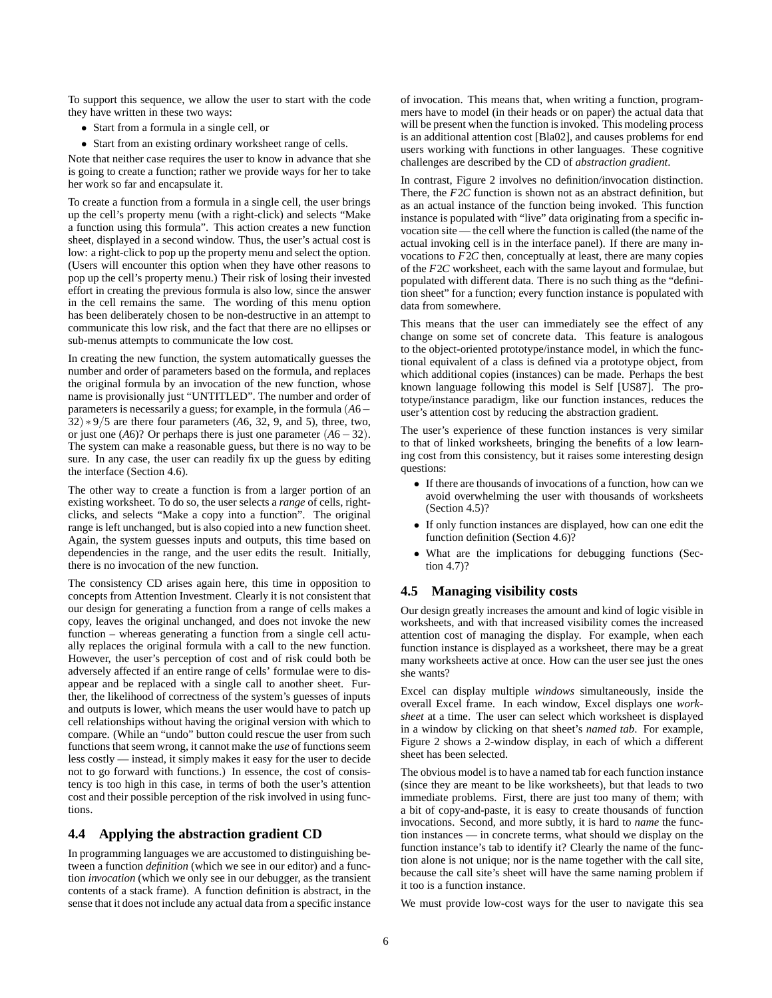To support this sequence, we allow the user to start with the code they have written in these two ways:

- Start from a formula in a single cell, or
- Start from an existing ordinary worksheet range of cells.

Note that neither case requires the user to know in advance that she is going to create a function; rather we provide ways for her to take her work so far and encapsulate it.

To create a function from a formula in a single cell, the user brings up the cell's property menu (with a right-click) and selects "Make a function using this formula". This action creates a new function sheet, displayed in a second window. Thus, the user's actual cost is low: a right-click to pop up the property menu and select the option. (Users will encounter this option when they have other reasons to pop up the cell's property menu.) Their risk of losing their invested effort in creating the previous formula is also low, since the answer in the cell remains the same. The wording of this menu option has been deliberately chosen to be non-destructive in an attempt to communicate this low risk, and the fact that there are no ellipses or sub-menus attempts to communicate the low cost.

In creating the new function, the system automatically guesses the number and order of parameters based on the formula, and replaces the original formula by an invocation of the new function, whose name is provisionally just "UNTITLED". The number and order of parameters is necessarily a guess; for example, in the formula (*A*6− 32) ∗ 9/5 are there four parameters (*A*6, 32, 9, and 5), three, two, or just one (*A*6)? Or perhaps there is just one parameter (*A*6−32). The system can make a reasonable guess, but there is no way to be sure. In any case, the user can readily fix up the guess by editing the interface (Section 4.6).

The other way to create a function is from a larger portion of an existing worksheet. To do so, the user selects a *range* of cells, rightclicks, and selects "Make a copy into a function". The original range is left unchanged, but is also copied into a new function sheet. Again, the system guesses inputs and outputs, this time based on dependencies in the range, and the user edits the result. Initially, there is no invocation of the new function.

The consistency CD arises again here, this time in opposition to concepts from Attention Investment. Clearly it is not consistent that our design for generating a function from a range of cells makes a copy, leaves the original unchanged, and does not invoke the new function – whereas generating a function from a single cell actually replaces the original formula with a call to the new function. However, the user's perception of cost and of risk could both be adversely affected if an entire range of cells' formulae were to disappear and be replaced with a single call to another sheet. Further, the likelihood of correctness of the system's guesses of inputs and outputs is lower, which means the user would have to patch up cell relationships without having the original version with which to compare. (While an "undo" button could rescue the user from such functions that seem wrong, it cannot make the *use* of functions seem less costly — instead, it simply makes it easy for the user to decide not to go forward with functions.) In essence, the cost of consistency is too high in this case, in terms of both the user's attention cost and their possible perception of the risk involved in using functions.

## **4.4 Applying the abstraction gradient CD**

In programming languages we are accustomed to distinguishing between a function *definition* (which we see in our editor) and a function *invocation* (which we only see in our debugger, as the transient contents of a stack frame). A function definition is abstract, in the sense that it does not include any actual data from a specific instance of invocation. This means that, when writing a function, programmers have to model (in their heads or on paper) the actual data that will be present when the function is invoked. This modeling process is an additional attention cost [Bla02], and causes problems for end users working with functions in other languages. These cognitive challenges are described by the CD of *abstraction gradient*.

In contrast, Figure 2 involves no definition/invocation distinction. There, the *F*2*C* function is shown not as an abstract definition, but as an actual instance of the function being invoked. This function instance is populated with "live" data originating from a specific invocation site — the cell where the function is called (the name of the actual invoking cell is in the interface panel). If there are many invocations to *F*2*C* then, conceptually at least, there are many copies of the *F*2*C* worksheet, each with the same layout and formulae, but populated with different data. There is no such thing as the "definition sheet" for a function; every function instance is populated with data from somewhere.

This means that the user can immediately see the effect of any change on some set of concrete data. This feature is analogous to the object-oriented prototype/instance model, in which the functional equivalent of a class is defined via a prototype object, from which additional copies (instances) can be made. Perhaps the best known language following this model is Self [US87]. The prototype/instance paradigm, like our function instances, reduces the user's attention cost by reducing the abstraction gradient.

The user's experience of these function instances is very similar to that of linked worksheets, bringing the benefits of a low learning cost from this consistency, but it raises some interesting design questions:

- If there are thousands of invocations of a function, how can we avoid overwhelming the user with thousands of worksheets (Section 4.5)?
- If only function instances are displayed, how can one edit the function definition (Section 4.6)?
- What are the implications for debugging functions (Section 4.7)?

#### **4.5 Managing visibility costs**

Our design greatly increases the amount and kind of logic visible in worksheets, and with that increased visibility comes the increased attention cost of managing the display. For example, when each function instance is displayed as a worksheet, there may be a great many worksheets active at once. How can the user see just the ones she wants?

Excel can display multiple *windows* simultaneously, inside the overall Excel frame. In each window, Excel displays one *worksheet* at a time. The user can select which worksheet is displayed in a window by clicking on that sheet's *named tab*. For example, Figure 2 shows a 2-window display, in each of which a different sheet has been selected.

The obvious model is to have a named tab for each function instance (since they are meant to be like worksheets), but that leads to two immediate problems. First, there are just too many of them; with a bit of copy-and-paste, it is easy to create thousands of function invocations. Second, and more subtly, it is hard to *name* the function instances — in concrete terms, what should we display on the function instance's tab to identify it? Clearly the name of the function alone is not unique; nor is the name together with the call site, because the call site's sheet will have the same naming problem if it too is a function instance.

We must provide low-cost ways for the user to navigate this sea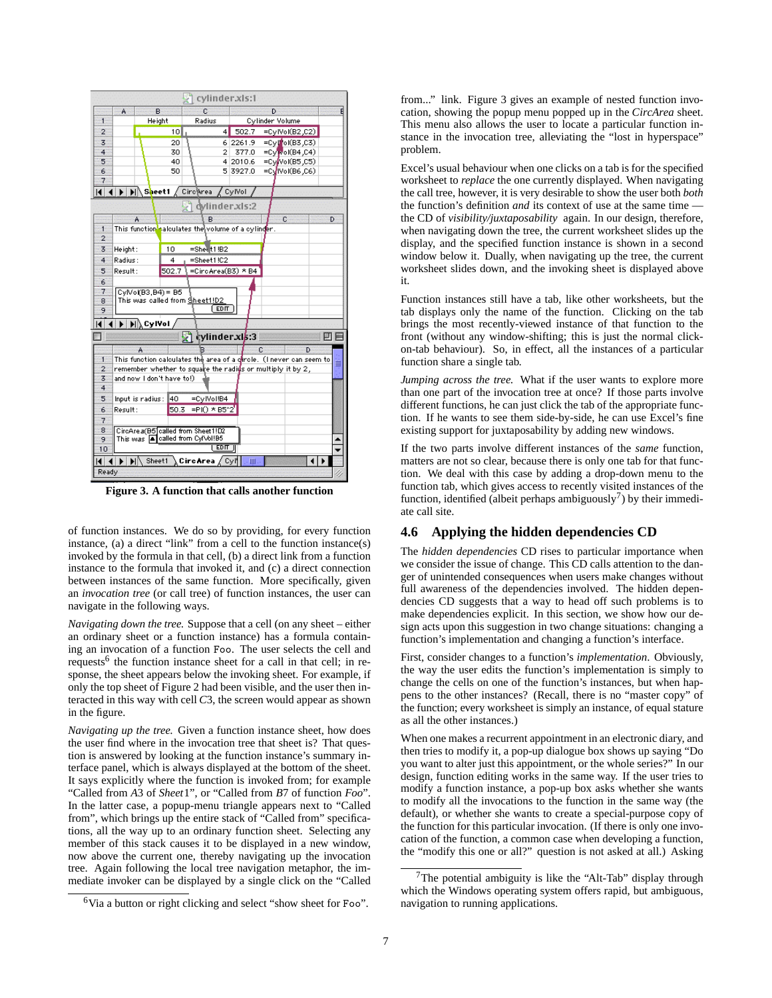| cylinder.xls:1                                                                               |                  |                  |                 |                                                    |          |                                                                     |   |  |  |
|----------------------------------------------------------------------------------------------|------------------|------------------|-----------------|----------------------------------------------------|----------|---------------------------------------------------------------------|---|--|--|
|                                                                                              | A                | B                |                 | c                                                  |          | D                                                                   |   |  |  |
| 1                                                                                            |                  | Height           |                 | Radius                                             |          | Cylinder Volume                                                     |   |  |  |
| $\overline{2}$                                                                               |                  |                  | 10 <sup>1</sup> | $\overline{4}$                                     | 502.7    | $=$ CylVol(B2,C2)                                                   |   |  |  |
| 3                                                                                            |                  |                  | 20              |                                                    | 6 2261.9 | $=$ Cy $\blacksquare$ ol(B3,C3)                                     |   |  |  |
| $\overline{4}$                                                                               |                  |                  | 30              | 2                                                  | 377.0    | =Cywol(B4,C4)                                                       |   |  |  |
| 5                                                                                            |                  |                  | 40              |                                                    | 4 2010.6 | =Cyvvol(B5,C5)                                                      |   |  |  |
| 6                                                                                            |                  |                  | 50              |                                                    | 5 3927.0 | =CylVol(B6,C6)                                                      |   |  |  |
| 7                                                                                            |                  |                  |                 |                                                    |          |                                                                     |   |  |  |
| 4   4   ▶   ▶   Sheet1 / Circ Area<br>CylVol                                                 |                  |                  |                 |                                                    |          |                                                                     |   |  |  |
| dvlinder.xls:2                                                                               |                  |                  |                 |                                                    |          |                                                                     |   |  |  |
|                                                                                              | A                |                  |                 | B                                                  |          | C                                                                   | D |  |  |
| $\mathbf{1}$                                                                                 |                  |                  |                 | This function salculates the volume of a cylinder. |          |                                                                     |   |  |  |
| $\overline{2}$                                                                               |                  |                  |                 |                                                    |          |                                                                     |   |  |  |
| 3                                                                                            | Height:          |                  | 10              | =Shett1!B2                                         |          |                                                                     |   |  |  |
| 4                                                                                            | Radius:          |                  | 4               | =Sheet1!C2                                         |          |                                                                     |   |  |  |
| 5                                                                                            | Result:          |                  | 502.7           | =CircArea(B3) * B4                                 |          |                                                                     |   |  |  |
| 6                                                                                            |                  |                  |                 |                                                    |          |                                                                     |   |  |  |
| 7<br>$CvNotB3.B4) = B5$<br>This was called from Sheet1!D2                                    |                  |                  |                 |                                                    |          |                                                                     |   |  |  |
| 8<br>9                                                                                       |                  |                  |                 | EDIT                                               |          |                                                                     |   |  |  |
|                                                                                              | $\mathbf{E}$     |                  |                 |                                                    |          |                                                                     |   |  |  |
|                                                                                              |                  | <b>MA</b> CylVol |                 | cylinder xl <sub>5</sub> :3                        |          |                                                                     | ш |  |  |
|                                                                                              | А                |                  |                 | 勁                                                  |          | c                                                                   | D |  |  |
| $\mathbf{1}$                                                                                 |                  |                  |                 |                                                    |          | This function calculates the area of a carcle. (I never can seem to |   |  |  |
| $\overline{2}$                                                                               |                  |                  |                 |                                                    |          |                                                                     | ≡ |  |  |
| remember whether to squale the radius or multiply it by 2,<br>3<br>and now I don't have to!) |                  |                  |                 |                                                    |          |                                                                     |   |  |  |
| $\overline{4}$                                                                               |                  |                  |                 |                                                    |          |                                                                     |   |  |  |
| 5                                                                                            | Input is radius: |                  | 40              | =CylVol!B4                                         |          |                                                                     |   |  |  |
| 6                                                                                            | Result:          |                  | 50.3            | $=$ PI() $*$ B5 $*$ 2                              |          |                                                                     |   |  |  |
| 7                                                                                            |                  |                  |                 |                                                    |          |                                                                     |   |  |  |
| 8                                                                                            |                  |                  |                 | CircArea(B5 called from Sheet 1!D2                 |          |                                                                     |   |  |  |
| This was [a] called from CylVol!B5<br>9                                                      |                  |                  |                 |                                                    |          |                                                                     |   |  |  |
| EDIT II<br>10                                                                                |                  |                  |                 |                                                    |          |                                                                     |   |  |  |
| Sheet1<br>∖ CircArea<br>ЫÞ<br>Cyl<br>Ш<br>◀                                                  |                  |                  |                 |                                                    |          |                                                                     |   |  |  |
| Ready                                                                                        |                  |                  |                 |                                                    |          |                                                                     |   |  |  |

**Figure 3. A function that calls another function**

of function instances. We do so by providing, for every function instance, (a) a direct "link" from a cell to the function instance(s) invoked by the formula in that cell, (b) a direct link from a function instance to the formula that invoked it, and (c) a direct connection between instances of the same function. More specifically, given an *invocation tree* (or call tree) of function instances, the user can navigate in the following ways.

*Navigating down the tree.* Suppose that a cell (on any sheet – either an ordinary sheet or a function instance) has a formula containing an invocation of a function Foo. The user selects the cell and requests<sup>6</sup> the function instance sheet for a call in that cell; in response, the sheet appears below the invoking sheet. For example, if only the top sheet of Figure 2 had been visible, and the user then interacted in this way with cell *C*3, the screen would appear as shown in the figure.

*Navigating up the tree.* Given a function instance sheet, how does the user find where in the invocation tree that sheet is? That question is answered by looking at the function instance's summary interface panel, which is always displayed at the bottom of the sheet. It says explicitly where the function is invoked from; for example "Called from *A*3 of *Sheet*1", or "Called from *B*7 of function *Foo*". In the latter case, a popup-menu triangle appears next to "Called from", which brings up the entire stack of "Called from" specifications, all the way up to an ordinary function sheet. Selecting any member of this stack causes it to be displayed in a new window, now above the current one, thereby navigating up the invocation tree. Again following the local tree navigation metaphor, the immediate invoker can be displayed by a single click on the "Called

<sup>6</sup>Via a button or right clicking and select "show sheet for Foo".

from..." link. Figure 3 gives an example of nested function invocation, showing the popup menu popped up in the *CircArea* sheet. This menu also allows the user to locate a particular function instance in the invocation tree, alleviating the "lost in hyperspace" problem.

Excel's usual behaviour when one clicks on a tab is for the specified worksheet to *replace* the one currently displayed. When navigating the call tree, however, it is very desirable to show the user both *both* the function's definition *and* its context of use at the same time the CD of *visibility/juxtaposability* again. In our design, therefore, when navigating down the tree, the current worksheet slides up the display, and the specified function instance is shown in a second window below it. Dually, when navigating up the tree, the current worksheet slides down, and the invoking sheet is displayed above it.

Function instances still have a tab, like other worksheets, but the tab displays only the name of the function. Clicking on the tab brings the most recently-viewed instance of that function to the front (without any window-shifting; this is just the normal clickon-tab behaviour). So, in effect, all the instances of a particular function share a single tab.

*Jumping across the tree.* What if the user wants to explore more than one part of the invocation tree at once? If those parts involve different functions, he can just click the tab of the appropriate function. If he wants to see them side-by-side, he can use Excel's fine existing support for juxtaposability by adding new windows.

If the two parts involve different instances of the *same* function, matters are not so clear, because there is only one tab for that function. We deal with this case by adding a drop-down menu to the function tab, which gives access to recently visited instances of the function, identified (albeit perhaps ambiguously<sup>7</sup>) by their immediate call site.

## **4.6 Applying the hidden dependencies CD**

The *hidden dependencies* CD rises to particular importance when we consider the issue of change. This CD calls attention to the danger of unintended consequences when users make changes without full awareness of the dependencies involved. The hidden dependencies CD suggests that a way to head off such problems is to make dependencies explicit. In this section, we show how our design acts upon this suggestion in two change situations: changing a function's implementation and changing a function's interface.

First, consider changes to a function's *implementation*. Obviously, the way the user edits the function's implementation is simply to change the cells on one of the function's instances, but when happens to the other instances? (Recall, there is no "master copy" of the function; every worksheet is simply an instance, of equal stature as all the other instances.)

When one makes a recurrent appointment in an electronic diary, and then tries to modify it, a pop-up dialogue box shows up saying "Do you want to alter just this appointment, or the whole series?" In our design, function editing works in the same way. If the user tries to modify a function instance, a pop-up box asks whether she wants to modify all the invocations to the function in the same way (the default), or whether she wants to create a special-purpose copy of the function for this particular invocation. (If there is only one invocation of the function, a common case when developing a function, the "modify this one or all?" question is not asked at all.) Asking

<sup>&</sup>lt;sup>7</sup>The potential ambiguity is like the "Alt-Tab" display through which the Windows operating system offers rapid, but ambiguous, navigation to running applications.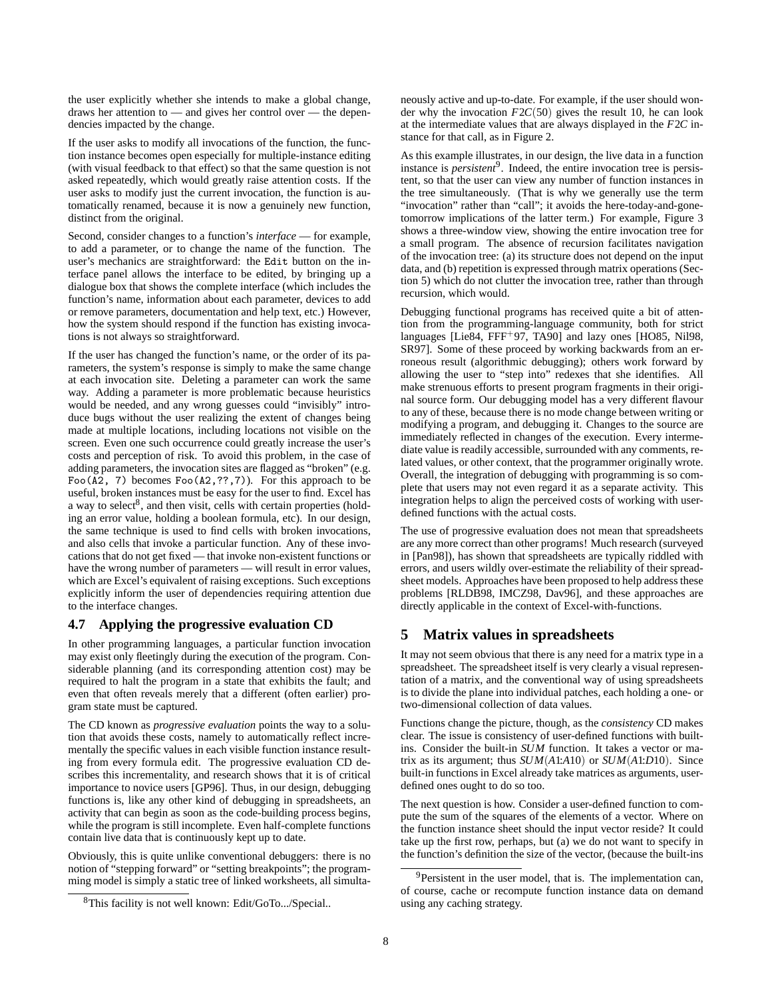the user explicitly whether she intends to make a global change, draws her attention to — and gives her control over — the dependencies impacted by the change.

If the user asks to modify all invocations of the function, the function instance becomes open especially for multiple-instance editing (with visual feedback to that effect) so that the same question is not asked repeatedly, which would greatly raise attention costs. If the user asks to modify just the current invocation, the function is automatically renamed, because it is now a genuinely new function, distinct from the original.

Second, consider changes to a function's *interface* — for example, to add a parameter, or to change the name of the function. The user's mechanics are straightforward: the Edit button on the interface panel allows the interface to be edited, by bringing up a dialogue box that shows the complete interface (which includes the function's name, information about each parameter, devices to add or remove parameters, documentation and help text, etc.) However, how the system should respond if the function has existing invocations is not always so straightforward.

If the user has changed the function's name, or the order of its parameters, the system's response is simply to make the same change at each invocation site. Deleting a parameter can work the same way. Adding a parameter is more problematic because heuristics would be needed, and any wrong guesses could "invisibly" introduce bugs without the user realizing the extent of changes being made at multiple locations, including locations not visible on the screen. Even one such occurrence could greatly increase the user's costs and perception of risk. To avoid this problem, in the case of adding parameters, the invocation sites are flagged as "broken" (e.g. Foo( $A2$ , 7) becomes Foo( $A2$ , ??, 7)). For this approach to be useful, broken instances must be easy for the user to find. Excel has a way to select<sup>8</sup>, and then visit, cells with certain properties (holding an error value, holding a boolean formula, etc). In our design, the same technique is used to find cells with broken invocations, and also cells that invoke a particular function. Any of these invocations that do not get fixed — that invoke non-existent functions or have the wrong number of parameters — will result in error values, which are Excel's equivalent of raising exceptions. Such exceptions explicitly inform the user of dependencies requiring attention due to the interface changes.

# **4.7 Applying the progressive evaluation CD**

In other programming languages, a particular function invocation may exist only fleetingly during the execution of the program. Considerable planning (and its corresponding attention cost) may be required to halt the program in a state that exhibits the fault; and even that often reveals merely that a different (often earlier) program state must be captured.

The CD known as *progressive evaluation* points the way to a solution that avoids these costs, namely to automatically reflect incrementally the specific values in each visible function instance resulting from every formula edit. The progressive evaluation CD describes this incrementality, and research shows that it is of critical importance to novice users [GP96]. Thus, in our design, debugging functions is, like any other kind of debugging in spreadsheets, an activity that can begin as soon as the code-building process begins, while the program is still incomplete. Even half-complete functions contain live data that is continuously kept up to date.

Obviously, this is quite unlike conventional debuggers: there is no notion of "stepping forward" or "setting breakpoints"; the programming model is simply a static tree of linked worksheets, all simultaneously active and up-to-date. For example, if the user should wonder why the invocation *F*2*C*(50) gives the result 10, he can look at the intermediate values that are always displayed in the *F*2*C* instance for that call, as in Figure 2.

As this example illustrates, in our design, the live data in a function instance is *persistent*<sup>9</sup>. Indeed, the entire invocation tree is persistent, so that the user can view any number of function instances in the tree simultaneously. (That is why we generally use the term "invocation" rather than "call"; it avoids the here-today-and-gonetomorrow implications of the latter term.) For example, Figure 3 shows a three-window view, showing the entire invocation tree for a small program. The absence of recursion facilitates navigation of the invocation tree: (a) its structure does not depend on the input data, and (b) repetition is expressed through matrix operations (Section 5) which do not clutter the invocation tree, rather than through recursion, which would.

Debugging functional programs has received quite a bit of attention from the programming-language community, both for strict languages [Lie84, FFF<sup>+97</sup>, TA90] and lazy ones [HO85, Nil98, SR97]. Some of these proceed by working backwards from an erroneous result (algorithmic debugging); others work forward by allowing the user to "step into" redexes that she identifies. All make strenuous efforts to present program fragments in their original source form. Our debugging model has a very different flavour to any of these, because there is no mode change between writing or modifying a program, and debugging it. Changes to the source are immediately reflected in changes of the execution. Every intermediate value is readily accessible, surrounded with any comments, related values, or other context, that the programmer originally wrote. Overall, the integration of debugging with programming is so complete that users may not even regard it as a separate activity. This integration helps to align the perceived costs of working with userdefined functions with the actual costs.

The use of progressive evaluation does not mean that spreadsheets are any more correct than other programs! Much research (surveyed in [Pan98]), has shown that spreadsheets are typically riddled with errors, and users wildly over-estimate the reliability of their spreadsheet models. Approaches have been proposed to help address these problems [RLDB98, IMCZ98, Dav96], and these approaches are directly applicable in the context of Excel-with-functions.

# **5 Matrix values in spreadsheets**

It may not seem obvious that there is any need for a matrix type in a spreadsheet. The spreadsheet itself is very clearly a visual representation of a matrix, and the conventional way of using spreadsheets is to divide the plane into individual patches, each holding a one- or two-dimensional collection of data values.

Functions change the picture, though, as the *consistency* CD makes clear. The issue is consistency of user-defined functions with builtins. Consider the built-in *SUM* function. It takes a vector or matrix as its argument; thus *SUM*(*A*1:*A*10) or *SUM*(*A*1:*D*10). Since built-in functions in Excel already take matrices as arguments, userdefined ones ought to do so too.

The next question is how. Consider a user-defined function to compute the sum of the squares of the elements of a vector. Where on the function instance sheet should the input vector reside? It could take up the first row, perhaps, but (a) we do not want to specify in the function's definition the size of the vector, (because the built-ins

<sup>&</sup>lt;sup>8</sup>This facility is not well known: Edit/GoTo.../Special...

<sup>&</sup>lt;sup>9</sup>Persistent in the user model, that is. The implementation can, of course, cache or recompute function instance data on demand using any caching strategy.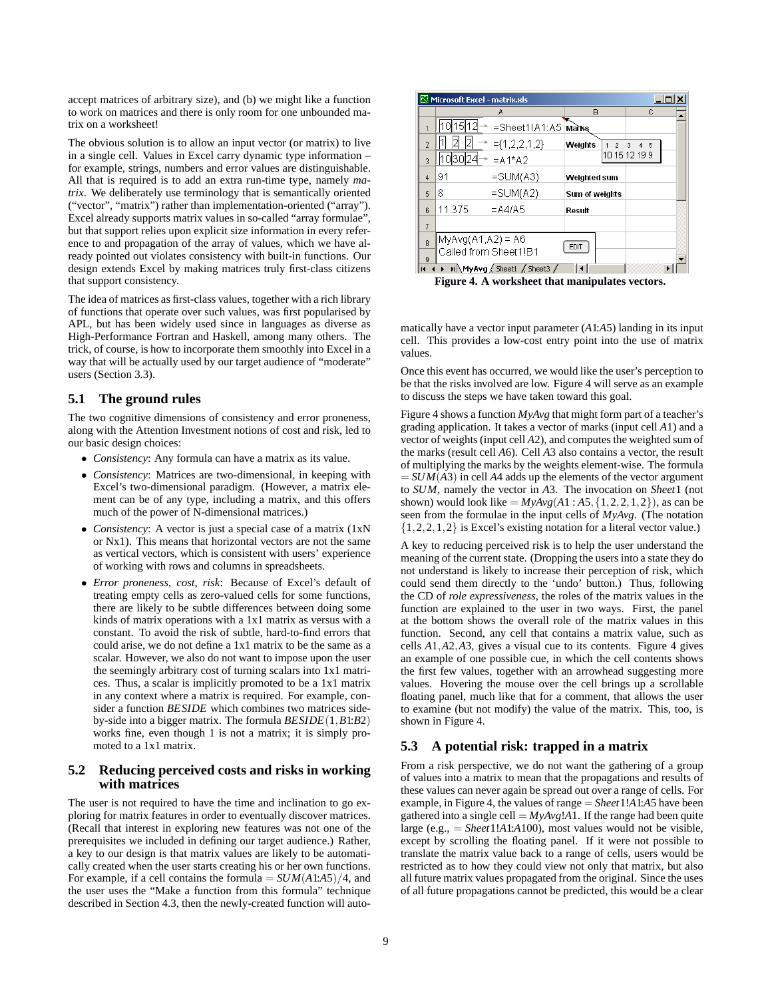accept matrices of arbitrary size), and (b) we might like a function to work on matrices and there is only room for one unbounded matrix on a worksheet!

The obvious solution is to allow an input vector (or matrix) to live in a single cell. Values in Excel carry dynamic type information – for example, strings, numbers and error values are distinguishable. All that is required is to add an extra run-time type, namely *matrix*. We deliberately use terminology that is semantically oriented ("vector", "matrix") rather than implementation-oriented ("array"). Excel already supports matrix values in so-called "array formulae", but that support relies upon explicit size information in every reference to and propagation of the array of values, which we have already pointed out violates consistency with built-in functions. Our design extends Excel by making matrices truly first-class citizens that support consistency.

The idea of matrices as first-class values, together with a rich library of functions that operate over such values, was first popularised by APL, but has been widely used since in languages as diverse as High-Performance Fortran and Haskell, among many others. The trick, of course, is how to incorporate them smoothly into Excel in a way that will be actually used by our target audience of "moderate" users (Section 3.3).

### **5.1 The ground rules**

The two cognitive dimensions of consistency and error proneness, along with the Attention Investment notions of cost and risk, led to our basic design choices:

- *Consistency*: Any formula can have a matrix as its value.
- *Consistency*: Matrices are two-dimensional, in keeping with Excel's two-dimensional paradigm. (However, a matrix element can be of any type, including a matrix, and this offers much of the power of N-dimensional matrices.)
- *Consistency*: A vector is just a special case of a matrix (1xN or Nx1). This means that horizontal vectors are not the same as vertical vectors, which is consistent with users' experience of working with rows and columns in spreadsheets.
- *Error proneness*, *cost*, *risk*: Because of Excel's default of treating empty cells as zero-valued cells for some functions, there are likely to be subtle differences between doing some kinds of matrix operations with a 1x1 matrix as versus with a constant. To avoid the risk of subtle, hard-to-find errors that could arise, we do not define a 1x1 matrix to be the same as a scalar. However, we also do not want to impose upon the user the seemingly arbitrary cost of turning scalars into 1x1 matrices. Thus, a scalar is implicitly promoted to be a 1x1 matrix in any context where a matrix is required. For example, consider a function *BESIDE* which combines two matrices sideby-side into a bigger matrix. The formula *BESIDE*(1,*B*1:*B*2) works fine, even though 1 is not a matrix; it is simply promoted to a 1x1 matrix.

#### **5.2 Reducing perceived costs and risks in working with matrices**

The user is not required to have the time and inclination to go exploring for matrix features in order to eventually discover matrices. (Recall that interest in exploring new features was not one of the prerequisites we included in defining our target audience.) Rather, a key to our design is that matrix values are likely to be automatically created when the user starts creating his or her own functions. For example, if a cell contains the formula  $= SUM(A1: A5)/4$ , and the user uses the "Make a function from this formula" technique described in Section 4.3, then the newly-created function will auto-



**Figure 4. A worksheet that manipulates vectors.**

matically have a vector input parameter (*A*1:*A*5) landing in its input cell. This provides a low-cost entry point into the use of matrix values.

Once this event has occurred, we would like the user's perception to be that the risks involved are low. Figure 4 will serve as an example to discuss the steps we have taken toward this goal.

Figure 4 shows a function *MyAvg* that might form part of a teacher's grading application. It takes a vector of marks (input cell *A*1) and a vector of weights (input cell *A*2), and computes the weighted sum of the marks (result cell *A*6). Cell *A*3 also contains a vector, the result of multiplying the marks by the weights element-wise. The formula  $= SUM(A3)$  in cell A4 adds up the elements of the vector argument to *SUM*, namely the vector in *A*3. The invocation on *Sheet*1 (not shown) would look like  $=MvAvg(A1:A5,\{1,2,2,1,2\})$ , as can be seen from the formulae in the input cells of *MyAvg*. (The notation  $\{1,2,2,1,2\}$  is Excel's existing notation for a literal vector value.)

A key to reducing perceived risk is to help the user understand the meaning of the current state. (Dropping the users into a state they do not understand is likely to increase their perception of risk, which could send them directly to the 'undo' button.) Thus, following the CD of *role expressiveness*, the roles of the matrix values in the function are explained to the user in two ways. First, the panel at the bottom shows the overall role of the matrix values in this function. Second, any cell that contains a matrix value, such as cells *A*1,*A*2,*A*3, gives a visual cue to its contents. Figure 4 gives an example of one possible cue, in which the cell contents shows the first few values, together with an arrowhead suggesting more values. Hovering the mouse over the cell brings up a scrollable floating panel, much like that for a comment, that allows the user to examine (but not modify) the value of the matrix. This, too, is shown in Figure 4.

## **5.3 A potential risk: trapped in a matrix**

From a risk perspective, we do not want the gathering of a group of values into a matrix to mean that the propagations and results of these values can never again be spread out over a range of cells. For example, in Figure 4, the values of range = *Sheet*1!*A*1:*A*5 have been gathered into a single cell  $=MyAvg!A1$ . If the range had been quite large (e.g.,  $=$  *Sheet* 1!*A*1:*A*100), most values would not be visible, except by scrolling the floating panel. If it were not possible to translate the matrix value back to a range of cells, users would be restricted as to how they could view not only that matrix, but also all future matrix values propagated from the original. Since the uses of all future propagations cannot be predicted, this would be a clear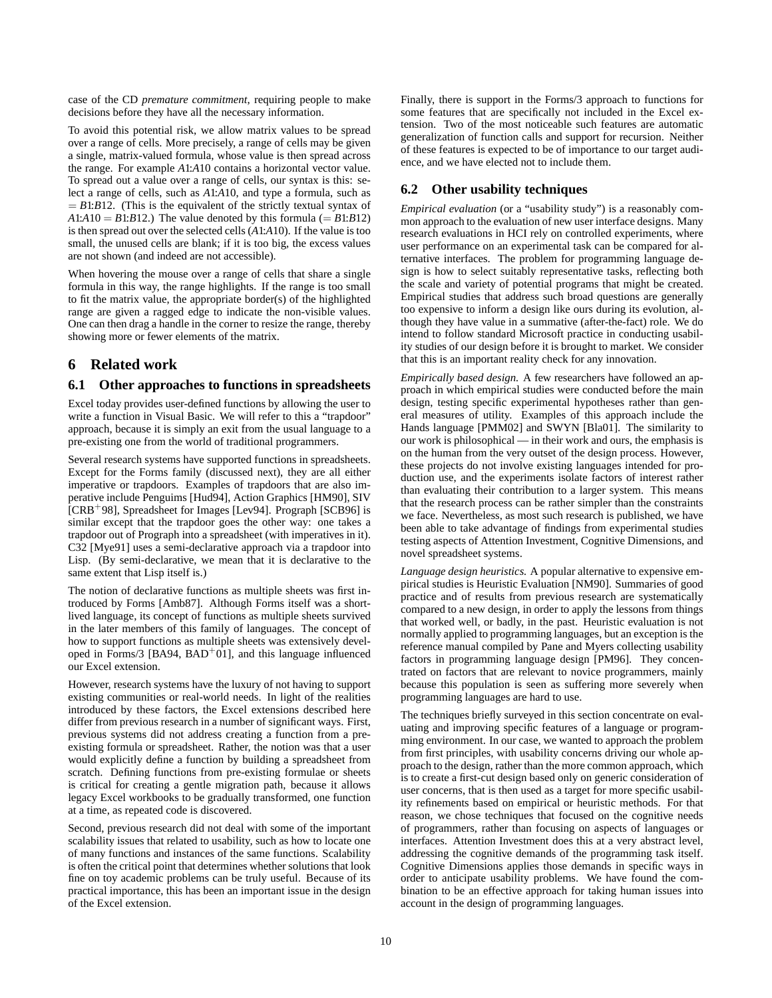case of the CD *premature commitment*, requiring people to make decisions before they have all the necessary information.

To avoid this potential risk, we allow matrix values to be spread over a range of cells. More precisely, a range of cells may be given a single, matrix-valued formula, whose value is then spread across the range. For example *A*1:*A*10 contains a horizontal vector value. To spread out a value over a range of cells, our syntax is this: select a range of cells, such as *A*1:*A*10, and type a formula, such as  $=$  *B*1:*B*12. (This is the equivalent of the strictly textual syntax of  $A1: A10 = B1:B12.$ ) The value denoted by this formula (= *B*1:*B*12) is then spread out over the selected cells (*A*1:*A*10). If the value is too small, the unused cells are blank; if it is too big, the excess values are not shown (and indeed are not accessible).

When hovering the mouse over a range of cells that share a single formula in this way, the range highlights. If the range is too small to fit the matrix value, the appropriate border(s) of the highlighted range are given a ragged edge to indicate the non-visible values. One can then drag a handle in the corner to resize the range, thereby showing more or fewer elements of the matrix.

# **6 Related work**

## **6.1 Other approaches to functions in spreadsheets**

Excel today provides user-defined functions by allowing the user to write a function in Visual Basic. We will refer to this a "trapdoor" approach, because it is simply an exit from the usual language to a pre-existing one from the world of traditional programmers.

Several research systems have supported functions in spreadsheets. Except for the Forms family (discussed next), they are all either imperative or trapdoors. Examples of trapdoors that are also imperative include Penguims [Hud94], Action Graphics [HM90], SIV [CRB+98], Spreadsheet for Images [Lev94]. Prograph [SCB96] is similar except that the trapdoor goes the other way: one takes a trapdoor out of Prograph into a spreadsheet (with imperatives in it). C32 [Mye91] uses a semi-declarative approach via a trapdoor into Lisp. (By semi-declarative, we mean that it is declarative to the same extent that Lisp itself is.)

The notion of declarative functions as multiple sheets was first introduced by Forms [Amb87]. Although Forms itself was a shortlived language, its concept of functions as multiple sheets survived in the later members of this family of languages. The concept of how to support functions as multiple sheets was extensively developed in Forms/3 [BA94, BAD<sup>+</sup>01], and this language influenced our Excel extension.

However, research systems have the luxury of not having to support existing communities or real-world needs. In light of the realities introduced by these factors, the Excel extensions described here differ from previous research in a number of significant ways. First, previous systems did not address creating a function from a preexisting formula or spreadsheet. Rather, the notion was that a user would explicitly define a function by building a spreadsheet from scratch. Defining functions from pre-existing formulae or sheets is critical for creating a gentle migration path, because it allows legacy Excel workbooks to be gradually transformed, one function at a time, as repeated code is discovered.

Second, previous research did not deal with some of the important scalability issues that related to usability, such as how to locate one of many functions and instances of the same functions. Scalability is often the critical point that determines whether solutions that look fine on toy academic problems can be truly useful. Because of its practical importance, this has been an important issue in the design of the Excel extension.

Finally, there is support in the Forms/3 approach to functions for some features that are specifically not included in the Excel extension. Two of the most noticeable such features are automatic generalization of function calls and support for recursion. Neither of these features is expected to be of importance to our target audience, and we have elected not to include them.

## **6.2 Other usability techniques**

*Empirical evaluation* (or a "usability study") is a reasonably common approach to the evaluation of new user interface designs. Many research evaluations in HCI rely on controlled experiments, where user performance on an experimental task can be compared for alternative interfaces. The problem for programming language design is how to select suitably representative tasks, reflecting both the scale and variety of potential programs that might be created. Empirical studies that address such broad questions are generally too expensive to inform a design like ours during its evolution, although they have value in a summative (after-the-fact) role. We do intend to follow standard Microsoft practice in conducting usability studies of our design before it is brought to market. We consider that this is an important reality check for any innovation.

*Empirically based design.* A few researchers have followed an approach in which empirical studies were conducted before the main design, testing specific experimental hypotheses rather than general measures of utility. Examples of this approach include the Hands language [PMM02] and SWYN [Bla01]. The similarity to our work is philosophical — in their work and ours, the emphasis is on the human from the very outset of the design process. However, these projects do not involve existing languages intended for production use, and the experiments isolate factors of interest rather than evaluating their contribution to a larger system. This means that the research process can be rather simpler than the constraints we face. Nevertheless, as most such research is published, we have been able to take advantage of findings from experimental studies testing aspects of Attention Investment, Cognitive Dimensions, and novel spreadsheet systems.

*Language design heuristics.* A popular alternative to expensive empirical studies is Heuristic Evaluation [NM90]. Summaries of good practice and of results from previous research are systematically compared to a new design, in order to apply the lessons from things that worked well, or badly, in the past. Heuristic evaluation is not normally applied to programming languages, but an exception is the reference manual compiled by Pane and Myers collecting usability factors in programming language design [PM96]. They concentrated on factors that are relevant to novice programmers, mainly because this population is seen as suffering more severely when programming languages are hard to use.

The techniques briefly surveyed in this section concentrate on evaluating and improving specific features of a language or programming environment. In our case, we wanted to approach the problem from first principles, with usability concerns driving our whole approach to the design, rather than the more common approach, which is to create a first-cut design based only on generic consideration of user concerns, that is then used as a target for more specific usability refinements based on empirical or heuristic methods. For that reason, we chose techniques that focused on the cognitive needs of programmers, rather than focusing on aspects of languages or interfaces. Attention Investment does this at a very abstract level, addressing the cognitive demands of the programming task itself. Cognitive Dimensions applies those demands in specific ways in order to anticipate usability problems. We have found the combination to be an effective approach for taking human issues into account in the design of programming languages.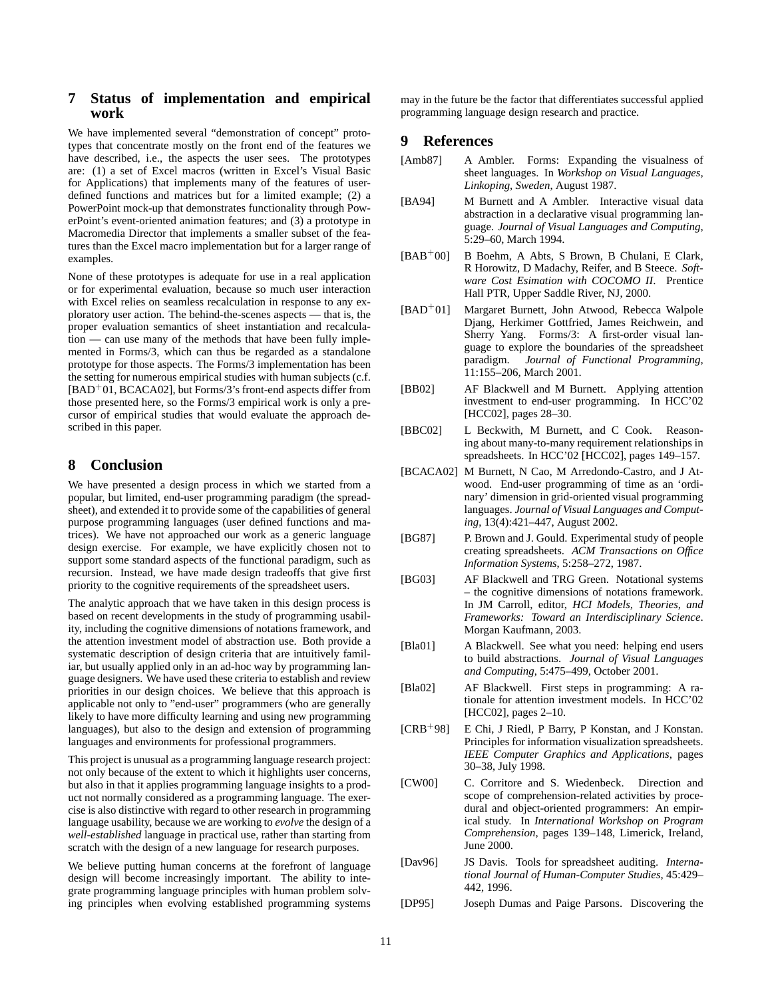## **7 Status of implementation and empirical work**

We have implemented several "demonstration of concept" prototypes that concentrate mostly on the front end of the features we have described, i.e., the aspects the user sees. The prototypes are: (1) a set of Excel macros (written in Excel's Visual Basic for Applications) that implements many of the features of userdefined functions and matrices but for a limited example; (2) a PowerPoint mock-up that demonstrates functionality through PowerPoint's event-oriented animation features; and (3) a prototype in Macromedia Director that implements a smaller subset of the features than the Excel macro implementation but for a larger range of examples.

None of these prototypes is adequate for use in a real application or for experimental evaluation, because so much user interaction with Excel relies on seamless recalculation in response to any exploratory user action. The behind-the-scenes aspects — that is, the proper evaluation semantics of sheet instantiation and recalculation — can use many of the methods that have been fully implemented in Forms/3, which can thus be regarded as a standalone prototype for those aspects. The Forms/3 implementation has been the setting for numerous empirical studies with human subjects (c.f. [BAD+01, BCACA02], but Forms/3's front-end aspects differ from those presented here, so the Forms/3 empirical work is only a precursor of empirical studies that would evaluate the approach described in this paper.

# **8 Conclusion**

We have presented a design process in which we started from a popular, but limited, end-user programming paradigm (the spreadsheet), and extended it to provide some of the capabilities of general purpose programming languages (user defined functions and matrices). We have not approached our work as a generic language design exercise. For example, we have explicitly chosen not to support some standard aspects of the functional paradigm, such as recursion. Instead, we have made design tradeoffs that give first priority to the cognitive requirements of the spreadsheet users.

The analytic approach that we have taken in this design process is based on recent developments in the study of programming usability, including the cognitive dimensions of notations framework, and the attention investment model of abstraction use. Both provide a systematic description of design criteria that are intuitively familiar, but usually applied only in an ad-hoc way by programming language designers. We have used these criteria to establish and review priorities in our design choices. We believe that this approach is applicable not only to "end-user" programmers (who are generally likely to have more difficulty learning and using new programming languages), but also to the design and extension of programming languages and environments for professional programmers.

This project is unusual as a programming language research project: not only because of the extent to which it highlights user concerns, but also in that it applies programming language insights to a product not normally considered as a programming language. The exercise is also distinctive with regard to other research in programming language usability, because we are working to *evolve* the design of a *well-established* language in practical use, rather than starting from scratch with the design of a new language for research purposes.

We believe putting human concerns at the forefront of language design will become increasingly important. The ability to integrate programming language principles with human problem solving principles when evolving established programming systems may in the future be the factor that differentiates successful applied programming language design research and practice.

## **9 References**

- [Amb87] A Ambler. Forms: Expanding the visualness of sheet languages. In *Workshop on Visual Languages, Linkoping, Sweden*, August 1987.
- [BA94] M Burnett and A Ambler. Interactive visual data abstraction in a declarative visual programming language. *Journal of Visual Languages and Computing*, 5:29–60, March 1994.
- [BAB+00] B Boehm, A Abts, S Brown, B Chulani, E Clark, R Horowitz, D Madachy, Reifer, and B Steece. *Software Cost Esimation with COCOMO II*. Prentice Hall PTR, Upper Saddle River, NJ, 2000.
- [BAD+01] Margaret Burnett, John Atwood, Rebecca Walpole Djang, Herkimer Gottfried, James Reichwein, and Sherry Yang. Forms/3: A first-order visual language to explore the boundaries of the spreadsheet paradigm. *Journal of Functional Programming*, 11:155–206, March 2001.
- [BB02] AF Blackwell and M Burnett. Applying attention investment to end-user programming. In HCC'02 [HCC02], pages 28–30.
- [BBC02] L Beckwith, M Burnett, and C Cook. Reasoning about many-to-many requirement relationships in spreadsheets. In HCC'02 [HCC02], pages 149–157.
- [BCACA02] M Burnett, N Cao, M Arredondo-Castro, and J Atwood. End-user programming of time as an 'ordinary' dimension in grid-oriented visual programming languages. *Journal of Visual Languages and Computing*, 13(4):421–447, August 2002.
- [BG87] P. Brown and J. Gould. Experimental study of people creating spreadsheets. *ACM Transactions on Office Information Systems*, 5:258–272, 1987.
- [BG03] AF Blackwell and TRG Green. Notational systems – the cognitive dimensions of notations framework. In JM Carroll, editor, *HCI Models, Theories, and Frameworks: Toward an Interdisciplinary Science*. Morgan Kaufmann, 2003.
- [Bla01] A Blackwell. See what you need: helping end users to build abstractions. *Journal of Visual Languages and Computing*, 5:475–499, October 2001.
- [Bla02] AF Blackwell. First steps in programming: A rationale for attention investment models. In HCC'02 [HCC02], pages 2–10.
- [CRB+98] E Chi, J Riedl, P Barry, P Konstan, and J Konstan. Principles for information visualization spreadsheets. *IEEE Computer Graphics and Applications*, pages 30–38, July 1998.
- [CW00] C. Corritore and S. Wiedenbeck. Direction and scope of comprehension-related activities by procedural and object-oriented programmers: An empirical study. In *International Workshop on Program Comprehension*, pages 139–148, Limerick, Ireland, June 2000.
- [Dav96] JS Davis. Tools for spreadsheet auditing. *International Journal of Human-Computer Studies*, 45:429– 442, 1996.
- [DP95] Joseph Dumas and Paige Parsons. Discovering the